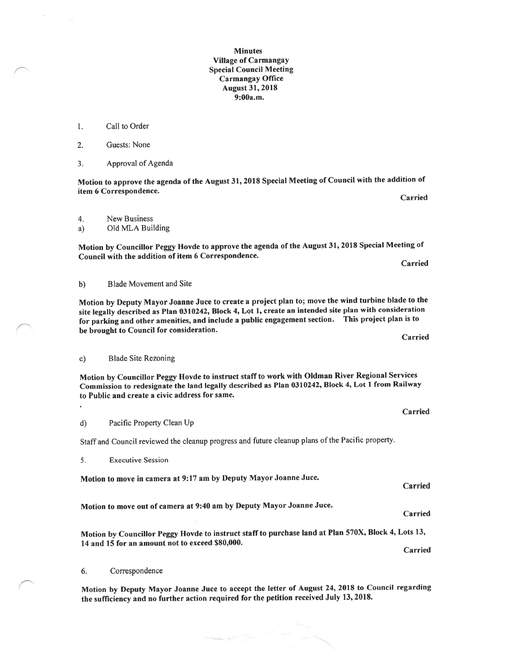## Minutes Village of Carmangay Special Council Meeting Carmangay Office August 31, 2018 9:00a.m.

- 1. Call to Order
- 2. Guests: None
- 3. Approval of Agenda

Motion to approve the agenda of the August 31,2018 Special Meeting of Council with the addition of item 6 Correspondence. Carried

4. New Business

a) Old MLA Building

Motion by Councillor Peggy Hovde to approve the agenda of the August 31, 201\$ Special Meeting of Council with the addition of item 6 Correspondence. Carried

b) Blade Movement and Site

Motion by Deputy Mayor Joanne Juce to create <sup>a</sup> project <sup>p</sup>lan to; move the wind turbine blade to the site legally described as Plan 0310242, Block 4, Lot 1, create an intended site <sup>p</sup>lan with consideration for parking and other amenities, and include <sup>a</sup> public engagemen<sup>t</sup> section. This project <sup>p</sup>lan is to be brought to Council for consideration. Carried

c) Blade Site Rezoning

Motion by Councillor Peggy Hovde to instruct staff to work with Oldman River Regional Services Commission to redesignate the land legally described as Plan 0310242, Block 4, Lot <sup>1</sup> from Railway to Public and create <sup>a</sup> civic address for same.

d) Pacific Property Clean Up

Staff and Council reviewed the cleanup progress and future cleanup <sup>p</sup>lans ofthe Pacific property.

5. Executive Session

Motion to move in camera at 9:17 am by Deputy Mayor Joanne Juce.

Motion to move out of camera at 9:40 am by Deputy Mayor Joanne Juce.

Motion by Councillor Peggy Hovde to instruct staff to purchase land at Plan 570X, Block 4, Lots 13, 14 and 15 for an amount not to exceed \$80,000.

6. Correspondence

Motion by Deputy Mayor Joanne Juce to accep<sup>t</sup> the letter of August 24, <sup>2018</sup> to Council regarding the sufficiency and no further action required for the petition received July 13, 2018.

Carried

Carried

Carried

Carried